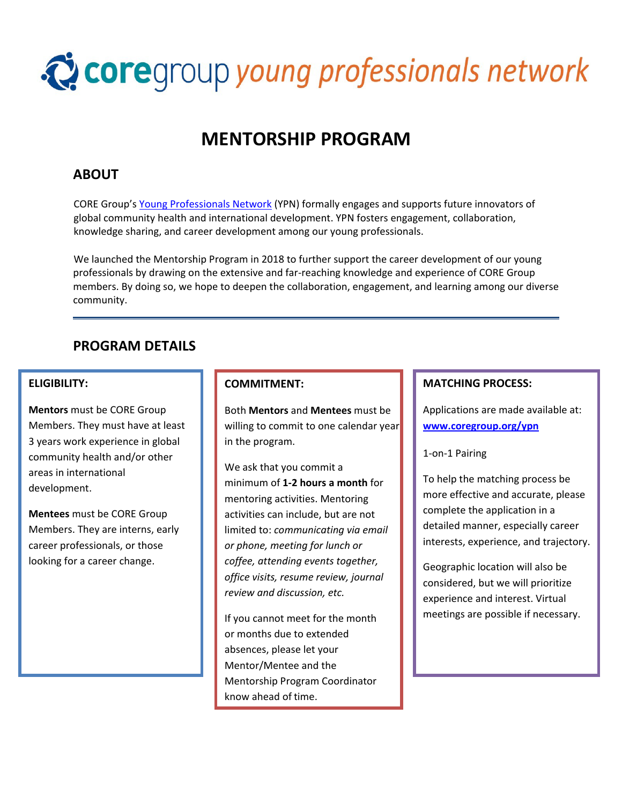# Coregroup young professionals network

## **MENTORSHIP PROGRAM**

## **ABOUT**

CORE Group's Young Professionals Network (YPN) formally engages and supports future innovators of global community health and international development. YPN fosters engagement, collaboration, knowledge sharing, and career development among our young professionals.

We launched the Mentorship Program in 2018 to further support the career development of our young professionals by drawing on the extensive and far-reaching knowledge and experience of CORE Group members. By doing so, we hope to deepen the collaboration, engagement, and learning among our diverse community.

### **PROGRAM DETAILS**

#### **ELIGIBILITY:**

**Mentors** must be CORE Group Members. They must have at least 3 years work experience in global community health and/or other areas in international development.

**Mentees** must be CORE Group Members. They are interns, early career professionals, or those looking for a career change.

#### **COMMITMENT:**

Both **Mentors** and **Mentees** must be willing to commit to one calendar year in the program.

We ask that you commit a minimum of **1-2 hours a month** for mentoring activities. Mentoring activities can include, but are not limited to: *communicating via email or phone, meeting for lunch or coffee, attending events together, office visits, resume review, journal review and discussion, etc.*

If you cannot meet for the month or months due to extended absences, please let your Mentor/Mentee and the Mentorship Program Coordinator know ahead of time.

#### **MATCHING PROCESS:**

Applications are made available at: **www.coregroup.org/ypn**

#### 1-on-1 Pairing

To help the matching process be more effective and accurate, please complete the application in a detailed manner, especially career interests, experience, and trajectory.

Geographic location will also be considered, but we will prioritize experience and interest. Virtual meetings are possible if necessary.